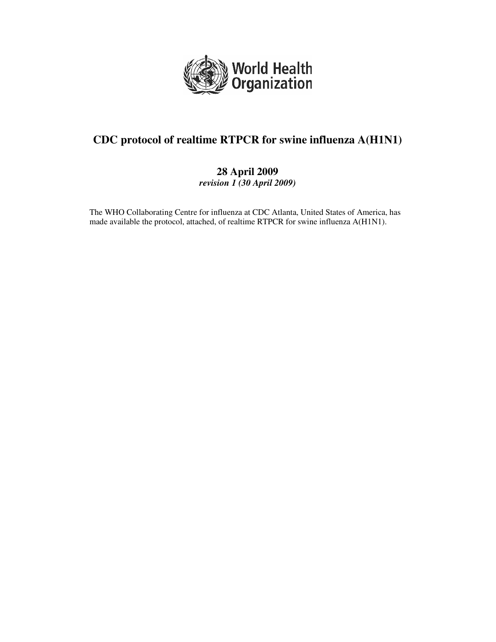

# **CDC protocol of realtime RTPCR for swine influenza A(H1N1)**

### **28 April 2009**  *revision 1 (30 April 2009)*

The WHO Collaborating Centre for influenza at CDC Atlanta, United States of America, has made available the protocol, attached, of realtime RTPCR for swine influenza A(H1N1).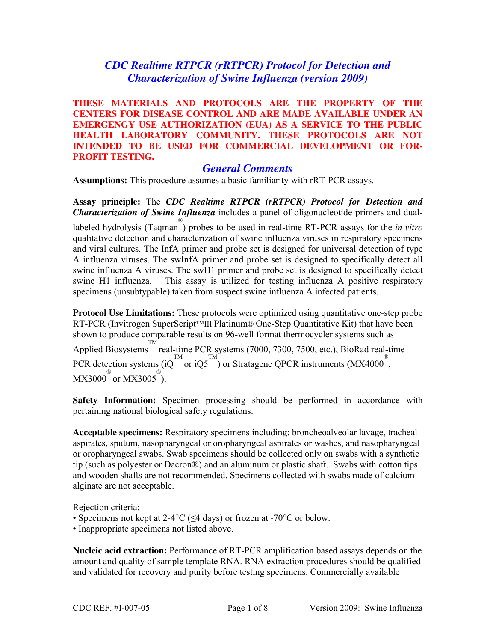# *CDC Realtime RTPCR (rRTPCR) Protocol for Detection and Characterization of Swine Influenza (version 2009)*

**THESE MATERIALS AND PROTOCOLS ARE THE PROPERTY OF THE CENTERS FOR DISEASE CONTROL AND ARE MADE AVAILABLE UNDER AN EMERGENGY USE AUTHORIZATION (EUA) AS A SERVICE TO THE PUBLIC HEALTH LABORATORY COMMUNITY. THESE PROTOCOLS ARE NOT INTENDED TO BE USED FOR COMMERCIAL DEVELOPMENT OR FOR-PROFIT TESTING.** 

### *General Comments*

**Assumptions:** This procedure assumes a basic familiarity with rRT-PCR assays.

**Assay principle:** The *CDC Realtime RTPCR (rRTPCR) Protocol for Detection and Characterization of Swine Influenza* includes a panel of oligonucleotide primers and duallabeled hydrolysis (Taqman ® ) probes to be used in real-time RT-PCR assays for the *in vitro*  qualitative detection and characterization of swine influenza viruses in respiratory specimens and viral cultures. The InfA primer and probe set is designed for universal detection of type A influenza viruses. The swInfA primer and probe set is designed to specifically detect all swine influenza A viruses. The swH1 primer and probe set is designed to specifically detect swine H1 influenza. This assay is utilized for testing influenza A positive respiratory specimens (unsubtypable) taken from suspect swine influenza A infected patients.

**Protocol Use Limitations:** These protocols were optimized using quantitative one-step probe RT-PCR (Invitrogen SuperScript™III Platinum® One-Step Quantitative Kit) that have been shown to produce comparable results on 96-well format thermocycler systems such as Applied Biosystems real-time PCR systems (7000, 7300, 7500, etc.), BioRad real-time TM PCR detection systems (iQ<sup>TM</sup> or iQ5<sup>TM</sup>) or Stratagene QPCR instruments (MX4000<sup>®</sup>,  $MX3000^{\circ\circ}$  or  $MX3005^{\circ\circ}$ ).

**Safety Information:** Specimen processing should be performed in accordance with pertaining national biological safety regulations.

**Acceptable specimens:** Respiratory specimens including: broncheoalveolar lavage, tracheal aspirates, sputum, nasopharyngeal or oropharyngeal aspirates or washes, and nasopharyngeal or oropharyngeal swabs. Swab specimens should be collected only on swabs with a synthetic tip (such as polyester or Dacron®) and an aluminum or plastic shaft. Swabs with cotton tips and wooden shafts are not recommended. Specimens collected with swabs made of calcium alginate are not acceptable.

Rejection criteria:

- Specimens not kept at  $2-4\degree C$  (<4 days) or frozen at -70 $\degree C$  or below.
- Inappropriate specimens not listed above.

**Nucleic acid extraction:** Performance of RT-PCR amplification based assays depends on the amount and quality of sample template RNA. RNA extraction procedures should be qualified and validated for recovery and purity before testing specimens. Commercially available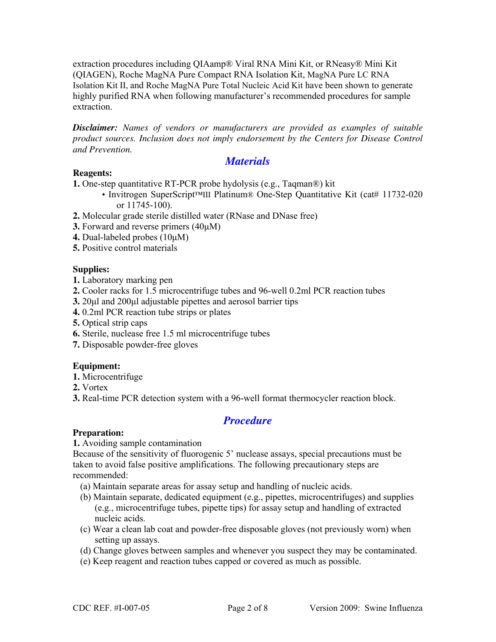extraction procedures including QIAamp® Viral RNA Mini Kit, or RNeasy® Mini Kit (QIAGEN), Roche MagNA Pure Compact RNA Isolation Kit, MagNA Pure LC RNA Isolation Kit II, and Roche MagNA Pure Total Nucleic Acid Kit have been shown to generate highly purified RNA when following manufacturer's recommended procedures for sample extraction.

*Disclaimer: Names of vendors or manufacturers are provided as examples of suitable product sources. Inclusion does not imply endorsement by the Centers for Disease Control and Prevention.* 

#### *Materials*

#### **Reagents:**

**1.** One-step quantitative RT-PCR probe hydolysis (e.g., Taqman®) kit

- Invitrogen SuperScript™III Platinum® One-Step Quantitative Kit (cat# 11732-020 or 11745-100).
- **2.** Molecular grade sterile distilled water (RNase and DNase free)
- **3.** Forward and reverse primers (40μM)
- **4.** Dual-labeled probes (10μM)
- **5.** Positive control materials

#### **Supplies:**

- **1.** Laboratory marking pen
- **2.** Cooler racks for 1.5 microcentrifuge tubes and 96-well 0.2ml PCR reaction tubes
- **3.** 20μl and 200μl adjustable pipettes and aerosol barrier tips
- **4.** 0.2ml PCR reaction tube strips or plates
- **5.** Optical strip caps
- **6.** Sterile, nuclease free 1.5 ml microcentrifuge tubes
- **7.** Disposable powder-free gloves

#### **Equipment:**

- **1.** Microcentrifuge
- **2.** Vortex
- **3.** Real-time PCR detection system with a 96-well format thermocycler reaction block.

# *Procedure*

#### **Preparation:**

#### **1.** Avoiding sample contamination

Because of the sensitivity of fluorogenic 5' nuclease assays, special precautions must be taken to avoid false positive amplifications. The following precautionary steps are recommended:

- (a) Maintain separate areas for assay setup and handling of nucleic acids.
- (b) Maintain separate, dedicated equipment (e.g., pipettes, microcentrifuges) and supplies (e.g., microcentrifuge tubes, pipette tips) for assay setup and handling of extracted nucleic acids.
- (c) Wear a clean lab coat and powder-free disposable gloves (not previously worn) when setting up assays.
- (d) Change gloves between samples and whenever you suspect they may be contaminated.
- (e) Keep reagent and reaction tubes capped or covered as much as possible.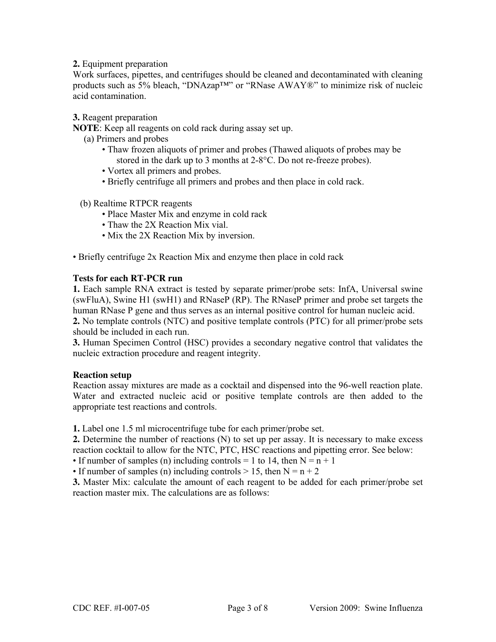#### **2.** Equipment preparation

Work surfaces, pipettes, and centrifuges should be cleaned and decontaminated with cleaning products such as 5% bleach, "DNAzap™" or "RNase AWAY®" to minimize risk of nucleic acid contamination.

#### **3.** Reagent preparation

**NOTE**: Keep all reagents on cold rack during assay set up.

(a) Primers and probes

- Thaw frozen aliquots of primer and probes (Thawed aliquots of probes may be stored in the dark up to 3 months at 2-8°C. Do not re-freeze probes).
- Vortex all primers and probes.
- ï Briefly centrifuge all primers and probes and then place in cold rack.

#### (b) Realtime RTPCR reagents

- Place Master Mix and enzyme in cold rack
- Thaw the 2X Reaction Mix vial.
- Mix the 2X Reaction Mix by inversion.

• Briefly centrifuge 2x Reaction Mix and enzyme then place in cold rack

#### **Tests for each RT-PCR run**

**1.** Each sample RNA extract is tested by separate primer/probe sets: InfA, Universal swine (swFluA), Swine H1 (swH1) and RNaseP (RP). The RNaseP primer and probe set targets the human RNase P gene and thus serves as an internal positive control for human nucleic acid. **2.** No template controls (NTC) and positive template controls (PTC) for all primer/probe sets

should be included in each run.

**3.** Human Specimen Control (HSC) provides a secondary negative control that validates the nucleic extraction procedure and reagent integrity.

#### **Reaction setup**

Reaction assay mixtures are made as a cocktail and dispensed into the 96-well reaction plate. Water and extracted nucleic acid or positive template controls are then added to the appropriate test reactions and controls.

**1.** Label one 1.5 ml microcentrifuge tube for each primer/probe set.

**2.** Determine the number of reactions (N) to set up per assay. It is necessary to make excess reaction cocktail to allow for the NTC, PTC, HSC reactions and pipetting error. See below:

• If number of samples (n) including controls = 1 to 14, then  $N = n + 1$ 

• If number of samples (n) including controls  $> 15$ , then  $N = n + 2$ 

**3.** Master Mix: calculate the amount of each reagent to be added for each primer/probe set reaction master mix. The calculations are as follows: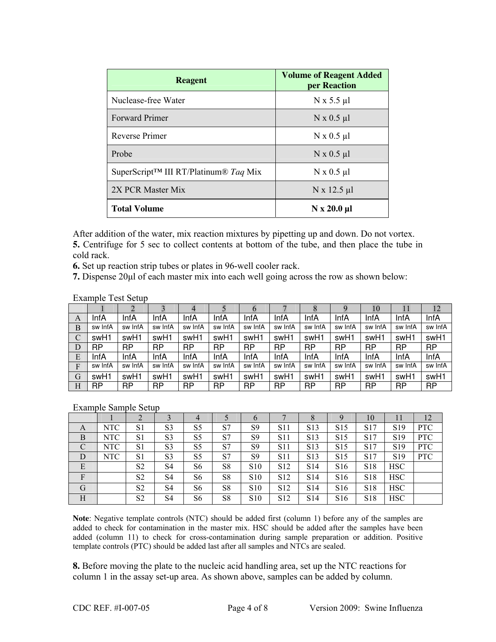| <b>Reagent</b>                                                 | <b>Volume of Reagent Added</b><br>per Reaction |  |  |  |  |
|----------------------------------------------------------------|------------------------------------------------|--|--|--|--|
| Nuclease-free Water                                            | $N \times 5.5 \mu l$                           |  |  |  |  |
| <b>Forward Primer</b>                                          | $N \times 0.5 \mu l$                           |  |  |  |  |
| <b>Reverse Primer</b>                                          | $N \times 0.5 \mu l$                           |  |  |  |  |
| Probe                                                          | $N \times 0.5 \mu l$                           |  |  |  |  |
| SuperScript <sup>TM</sup> III RT/Platinum <sup>®</sup> Taq Mix | $N \times 0.5 \mu l$                           |  |  |  |  |
| 2X PCR Master Mix                                              | $N \times 12.5 \mu l$                          |  |  |  |  |
| <b>Total Volume</b>                                            | $N \times 20.0 \mu l$                          |  |  |  |  |

After addition of the water, mix reaction mixtures by pipetting up and down. Do not vortex.

**5.** Centrifuge for 5 sec to collect contents at bottom of the tube, and then place the tube in cold rack.

**6.** Set up reaction strip tubes or plates in 96-well cooler rack.

**7.** Dispense 20μl of each master mix into each well going across the row as shown below:

#### Example Test Setup

|   |           |         |         | 4         |           | $\sigma$  |           | Õ         |           | 10        |           | 12      |
|---|-----------|---------|---------|-----------|-----------|-----------|-----------|-----------|-----------|-----------|-----------|---------|
| A | InfA      | InfA    | InfA    | InfA      | InfA      | InfA      | InfA      | InfA      | InfA      | InfA      | InfA      | InfA    |
| B | sw InfA   | sw InfA | sw InfA | sw InfA   | sw InfA   | sw InfA   | sw InfA   | sw InfA   | sw InfA   | sw InfA   | sw InfA   | sw InfA |
| C | swH1      | swH1    | swH1    | swH1      | swH1      | swH1      | swH1      | swH1      | swH1      | swH1      | swH1      | swH1    |
| D | <b>RP</b> | RP      | RP      | <b>RP</b> | <b>RP</b> | <b>RP</b> | <b>RP</b> | <b>RP</b> | <b>RP</b> | <b>RP</b> | <b>RP</b> | RP      |
| E | InfA      | InfA    | InfA    | InfA      | InfA      | InfA      | InfA      | InfA      | InfA      | InfA      | InfA      | InfA    |
| F | sw InfA   | sw InfA | sw InfA | sw InfA   | sw InfA   | sw InfA   | sw InfA   | sw InfA   | sw InfA   | sw InfA   | sw InfA   | sw InfA |
| G | swH1      | swH1    | swH1    | swH1      | swH1      | swH1      | swH1      | swH1      | swH1      | swH1      | swH1      | swH1    |
| H | <b>RP</b> | RP      | RP      | <b>RP</b> | <b>RP</b> | <b>RP</b> | <b>RP</b> | <b>RP</b> | <b>RP</b> | <b>RP</b> | <b>RP</b> | RP      |

#### Example Sample Setup

|   |            |                |                | $\overline{4}$ |                | 6               |                 | 8                | $\mathbf Q$     | 10              | $\perp$         | 12         |
|---|------------|----------------|----------------|----------------|----------------|-----------------|-----------------|------------------|-----------------|-----------------|-----------------|------------|
| A | <b>NTC</b> | S <sub>1</sub> | S <sub>3</sub> | S <sub>5</sub> | S7             | S <sub>9</sub>  | S11             | S <sub>13</sub>  | S <sub>15</sub> | S <sub>17</sub> | S <sub>19</sub> | <b>PTC</b> |
| B | <b>NTC</b> | S <sub>1</sub> | S <sub>3</sub> | S <sub>5</sub> | S7             | S9              | S11             | S <sub>13</sub>  | S <sub>15</sub> | S <sub>17</sub> | S <sub>19</sub> | <b>PTC</b> |
| C | NTC        | S1             | S <sub>3</sub> | S <sub>5</sub> | S7             | S <sub>9</sub>  | <b>S11</b>      | S <sub>13</sub>  | S <sub>15</sub> | S <sub>17</sub> | S <sub>19</sub> | <b>PTC</b> |
| D | NTC        | S1             | S <sub>3</sub> | S <sub>5</sub> | S7             | S <sub>9</sub>  | <b>S11</b>      | S <sub>1</sub> 3 | S <sub>15</sub> | S <sub>17</sub> | S <sub>19</sub> | <b>PTC</b> |
| E |            | S <sub>2</sub> | S4             | S6             | S <sub>8</sub> | S <sub>10</sub> | S <sub>12</sub> | S <sub>14</sub>  | S <sub>16</sub> | S <sub>18</sub> | <b>HSC</b>      |            |
| F |            | S <sub>2</sub> | S4             | S6             | S8             | <b>S10</b>      | S <sub>12</sub> | S <sub>14</sub>  | S <sub>16</sub> | S <sub>18</sub> | <b>HSC</b>      |            |
| G |            | S <sub>2</sub> | S4             | S6             | S8             | S <sub>10</sub> | S <sub>12</sub> | S <sub>14</sub>  | S <sub>16</sub> | S <sub>18</sub> | <b>HSC</b>      |            |
| H |            | S <sub>2</sub> | S <sub>4</sub> | S6             | S <sub>8</sub> | S <sub>10</sub> | S <sub>12</sub> | S <sub>14</sub>  | S <sub>16</sub> | S <sub>18</sub> | <b>HSC</b>      |            |

**Note**: Negative template controls (NTC) should be added first (column 1) before any of the samples are added to check for contamination in the master mix. HSC should be added after the samples have been added (column 11) to check for cross-contamination during sample preparation or addition. Positive template controls (PTC) should be added last after all samples and NTCs are sealed.

**8.** Before moving the plate to the nucleic acid handling area, set up the NTC reactions for column 1 in the assay set-up area. As shown above, samples can be added by column.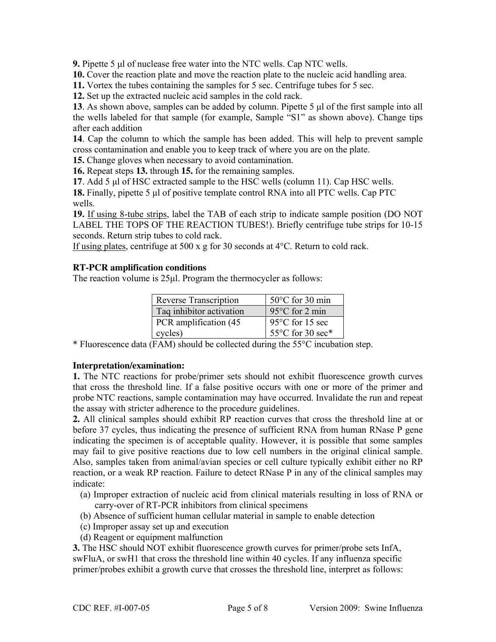**9.** Pipette 5 μl of nuclease free water into the NTC wells. Cap NTC wells.

**10.** Cover the reaction plate and move the reaction plate to the nucleic acid handling area.

**11.** Vortex the tubes containing the samples for 5 sec. Centrifuge tubes for 5 sec.

**12.** Set up the extracted nucleic acid samples in the cold rack.

**13**. As shown above, samples can be added by column. Pipette 5 μl of the first sample into all the wells labeled for that sample (for example, Sample "S1" as shown above). Change tips after each addition

**14**. Cap the column to which the sample has been added. This will help to prevent sample cross contamination and enable you to keep track of where you are on the plate.

**15.** Change gloves when necessary to avoid contamination.

**16.** Repeat steps **13.** through **15.** for the remaining samples.

**17**. Add 5 μl of HSC extracted sample to the HSC wells (column 11). Cap HSC wells.

**18.** Finally, pipette 5 μl of positive template control RNA into all PTC wells. Cap PTC wells.

**19.** If using 8-tube strips, label the TAB of each strip to indicate sample position (DO NOT LABEL THE TOPS OF THE REACTION TUBES!). Briefly centrifuge tube strips for 10-15 seconds. Return strip tubes to cold rack.

If using plates, centrifuge at 500 x g for 30 seconds at 4°C. Return to cold rack.

#### **RT-PCR amplification conditions**

The reaction volume is  $25\mu$ . Program the thermocycler as follows:

| Reverse Transcription    | $50^{\circ}$ C for 30 min  |
|--------------------------|----------------------------|
| Taq inhibitor activation | $95^{\circ}$ C for 2 min   |
| PCR amplification (45)   | 95 $\degree$ C for 15 sec  |
| cycles)                  | 55 $\degree$ C for 30 sec* |

\* Fluorescence data (FAM) should be collected during the 55°C incubation step.

#### **Interpretation/examination:**

**1.** The NTC reactions for probe/primer sets should not exhibit fluorescence growth curves that cross the threshold line. If a false positive occurs with one or more of the primer and probe NTC reactions, sample contamination may have occurred. Invalidate the run and repeat the assay with stricter adherence to the procedure guidelines.

**2.** All clinical samples should exhibit RP reaction curves that cross the threshold line at or before 37 cycles, thus indicating the presence of sufficient RNA from human RNase P gene indicating the specimen is of acceptable quality. However, it is possible that some samples may fail to give positive reactions due to low cell numbers in the original clinical sample. Also, samples taken from animal/avian species or cell culture typically exhibit either no RP reaction, or a weak RP reaction. Failure to detect RNase P in any of the clinical samples may indicate:

- (a) Improper extraction of nucleic acid from clinical materials resulting in loss of RNA or carry-over of RT-PCR inhibitors from clinical specimens
- (b) Absence of sufficient human cellular material in sample to enable detection
- (c) Improper assay set up and execution
- (d) Reagent or equipment malfunction

**3.** The HSC should NOT exhibit fluorescence growth curves for primer/probe sets InfA, swFluA, or swH1 that cross the threshold line within 40 cycles. If any influenza specific primer/probes exhibit a growth curve that crosses the threshold line, interpret as follows: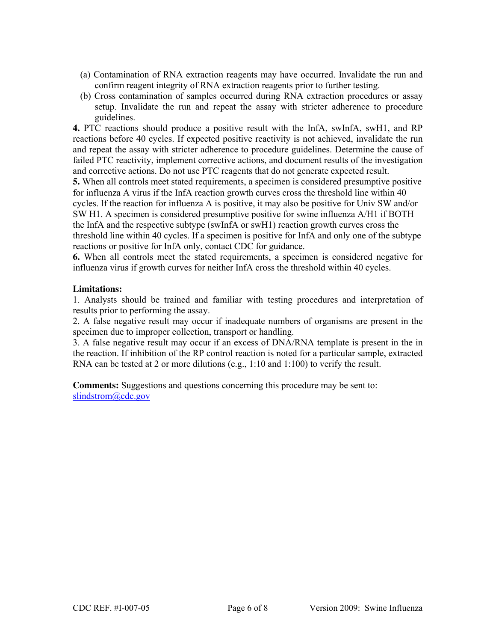- (a) Contamination of RNA extraction reagents may have occurred. Invalidate the run and confirm reagent integrity of RNA extraction reagents prior to further testing.
- (b) Cross contamination of samples occurred during RNA extraction procedures or assay setup. Invalidate the run and repeat the assay with stricter adherence to procedure guidelines.

**4.** PTC reactions should produce a positive result with the InfA, swInfA, swH1, and RP reactions before 40 cycles. If expected positive reactivity is not achieved, invalidate the run and repeat the assay with stricter adherence to procedure guidelines. Determine the cause of failed PTC reactivity, implement corrective actions, and document results of the investigation and corrective actions. Do not use PTC reagents that do not generate expected result.

**5.** When all controls meet stated requirements, a specimen is considered presumptive positive for influenza A virus if the InfA reaction growth curves cross the threshold line within 40 cycles. If the reaction for influenza A is positive, it may also be positive for Univ SW and/or SW H1. A specimen is considered presumptive positive for swine influenza A/H1 if BOTH the InfA and the respective subtype (swInfA or swH1) reaction growth curves cross the threshold line within 40 cycles. If a specimen is positive for InfA and only one of the subtype reactions or positive for InfA only, contact CDC for guidance.

**6.** When all controls meet the stated requirements, a specimen is considered negative for influenza virus if growth curves for neither InfA cross the threshold within 40 cycles.

#### **Limitations:**

1. Analysts should be trained and familiar with testing procedures and interpretation of results prior to performing the assay.

2. A false negative result may occur if inadequate numbers of organisms are present in the specimen due to improper collection, transport or handling.

3. A false negative result may occur if an excess of DNA/RNA template is present in the in the reaction. If inhibition of the RP control reaction is noted for a particular sample, extracted RNA can be tested at 2 or more dilutions (e.g., 1:10 and 1:100) to verify the result.

**Comments:** Suggestions and questions concerning this procedure may be sent to: slindstrom@cdc.gov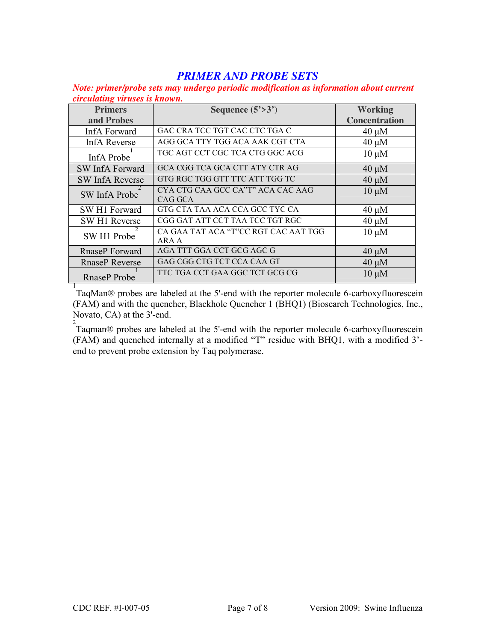# *PRIMER AND PROBE SETS*

*Note: primer/probe sets may undergo periodic modification as information about current circulating viruses is known.*

| <b>Primers</b>         | Sequence $(5\text{>}3\text{}')$      | <b>Working</b>       |
|------------------------|--------------------------------------|----------------------|
| and Probes             |                                      | <b>Concentration</b> |
| InfA Forward           | GAC CRA TCC TGT CAC CTC TGA C        | $40 \mu M$           |
| <b>InfA Reverse</b>    | AGG GCA TTY TGG ACA AAK CGT CTA      | $40 \mu M$           |
| InfA Probe             | TGC AGT CCT CGC TCA CTG GGC ACG      | $10 \mu M$           |
| SW InfA Forward        | GCA CGG TCA GCA CTT ATY CTR AG       | $40 \mu M$           |
| <b>SW InfA Reverse</b> | GTG RGC TGG GTT TTC ATT TGG TC       | $40 \mu M$           |
| SW InfA Probe          | CYA CTG CAA GCC CA"T" ACA CAC AAG    | $10 \mu M$           |
|                        | CAG GCA                              |                      |
| SW H1 Forward          | GTG CTA TAA ACA CCA GCC TYC CA       | $40 \mu M$           |
| SW H1 Reverse          | CGG GAT ATT CCT TAA TCC TGT RGC      | $40 \mu M$           |
| SW H1 Probe            | CA GAA TAT ACA "T"CC RGT CAC AAT TGG | $10 \mu M$           |
|                        | ARA A                                |                      |
| RnaseP Forward         | AGA TTT GGA CCT GCG AGC G            | $40 \mu M$           |
| <b>RnaseP</b> Reverse  | GAG CGG CTG TCT CCA CAA GT           | $40 \mu M$           |
| <b>RnaseP</b> Probe    | TTC TGA CCT GAA GGC TCT GCG CG       | $10 \mu M$           |

RnaseP Probe<br>
<sup>1</sup>TaqMan® probes are labeled at the 5'-end with the reporter molecule 6-carboxyfluorescein (FAM) and with the quencher, Blackhole Quencher 1 (BHQ1) (Biosearch Technologies, Inc., Novato, CA) at the 3'-end.

<sup>2</sup><br>Taqman® probes are labeled at the 5'-end with the reporter molecule 6-carboxyfluorescein (FAM) and quenched internally at a modified "T" residue with BHQ1, with a modified 3' end to prevent probe extension by Taq polymerase.